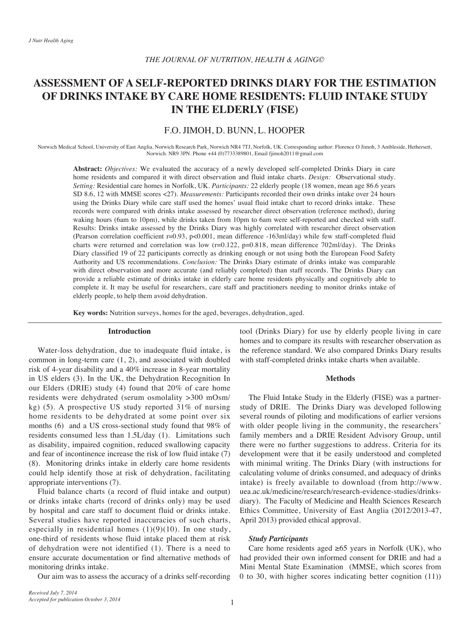# **ASSESSMENT OF A SELE-REPORTED DRINKS DIARY FOR THE ESTIMATION OF DRINKS INTAKE BY CARE HOME RESIDENTS: FLUID INTAKE STUDY IN THE ELDERLY (FISE)**

# F.O. JIMOH, D. BUNN, L. HOOPER

Norwich Medical School, University of East Anglia, Norwich Research Park, Norwich NR4 7TJ, Norfolk, UK. Corresponding author: Florence O Jimoh, 3 Ambleside, Hethersett, Norwich. NR9 3PN. Phone  $+44$  (0)7733389801, Email fjimoh 2011@gmail.com

Abstract: *Objectives*: We evaluated the accuracy of a newly developed self-completed Drinks Diary in care home residents and compared it with direct observation and fluid intake charts. Design: Observational study. Setting: Residential care homes in Norfolk, UK. Participants: 22 elderly people (18 women, mean age 86.6 years SD 8.6, 12 with MMSE scores <27). Measurements: Participants recorded their own drinks intake over 24 hours using the Drinks Diary while care staff used the homes' usual fluid intake chart to record drinks intake. These records were compared with drinks intake assessed by researcher direct observation (reference method), during waking hours (6am to 10pm), while drinks taken from 10pm to 6am were self-reported and checked with staff. Results: Drinks intake assessed by the Drinks Diary was highly correlated with researcher direct observation (Pearson correlation coefficient  $r=0.93$ ,  $p<0.001$ , mean difference -163 ml/day) while few staff-completed fluid charts were returned and correlation was low  $(r=0.122, p=0.818,$  mean difference 702ml/day). The Drinks Diary classified 19 of 22 participants correctly as drinking enough or not using both the European Food Safety Authority and US recommendations. *Conclusion*: The Drinks Diary estimate of drinks intake was comparable with direct observation and more accurate (and reliably completed) than staff records. The Drinks Diary can provide a reliable estimate of drinks intake in elderly care home residents physically and cognitively able to complete it. It may be useful for researchers, care staff and practitioners needing to monitor drinks intake of elderly people, to help them avoid dehydration.

Key words: Nutrition surveys, homes for the aged, beverages, dehydration, aged.

#### **Introduction**

Water-loss dehydration, due to inadequate fluid intake, is common in long-term care  $(1, 2)$ , and associated with doubled risk of 4-year disability and a  $40\%$  increase in 8-year mortality in US elders (3). In the UK, the Dehydration Recognition In our Elders (DRIE) study (4) found that  $20\%$  of care home residents were dehydrated (serum osmolality >300 mOsm/ kg) (5). A prospective US study reported  $31\%$  of nursing home residents to be dehydrated at some point over six months  $(6)$  and a US cross-sectional study found that 98% of residents consumed less than 1.5L/day (1). Limitations such as disability, impaired cognition, reduced swallowing capacity and fear of incontinence increase the risk of low fluid intake  $(7)$  $(8)$ . Monitoring drinks intake in elderly care home residents could help identify those at risk of dehydration, facilitating appropriate interventions (7).

Fluid balance charts (a record of fluid intake and output) or drinks intake charts (record of drinks only) may be used by hospital and care staff to document fluid or drinks intake. Several studies have reported inaccuracies of such charts, especially in residential homes  $(1)(9)(10)$ . In one study, one-third of residents whose fluid intake placed them at risk of dehydration were not identified  $(1)$ . There is a need to ensure accurate documentation or find alternative methods of monitoring drinks intake.

Our aim was to assess the accuracy of a drinks self-recording

tool (Drinks Diary) for use by elderly people living in care homes and to compare its results with researcher observation as the reference standard. We also compared Drinks Diary results with staff-completed drinks intake charts when available.

#### **Methods**

study of DRIE. The Drinks Diary was developed following The Fluid Intake Study in the Elderly (FISE) was a partnerseveral rounds of piloting and modifications of earlier versions with older people living in the community, the researchers' family members and a DRIE Resident Advisory Group, until there were no further suggestions to address. Criteria for its development were that it be easily understood and completed with minimal writing. The Drinks Diary (with instructions for calculating volume of drinks consumed, and adequacy of drinks intake) is freely available to download (from http://www. diary). The Faculty of Medicine and Health Sciences Research uea.ac.uk/medicine/research/research-evidence-studies/drinks-Ethics Committee, University of East Anglia (2012/2013-47, April 2013) provided ethical approval.

# *Participants Study*

Care home residents aged  $\geq 65$  years in Norfolk (UK), who had provided their own informed consent for DRIE and had a Mini Mental State Examination (MMSE, which scores from  $(0)$  to 30, with higher scores indicating better cognition  $(11)$ )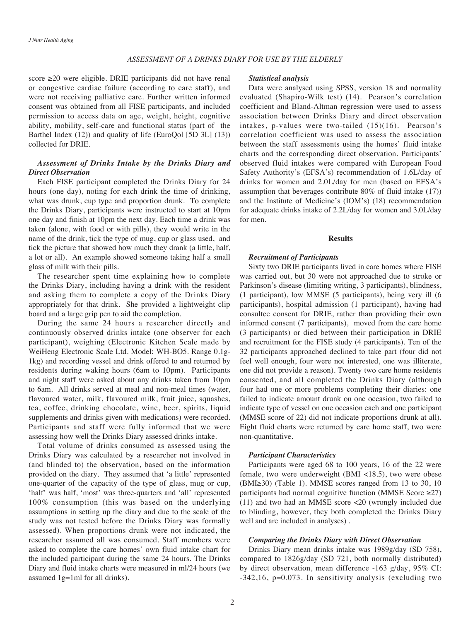## **ASSESSMENT OF A DRINKS DIARY FOR USE BY THE ELDERLY**

score  $\geq$ 20 were eligible. DRIE participants did not have renal or congestive cardiac failure (according to care staff), and were not receiving palliative care. Further written informed consent was obtained from all FISE participants, and included permission to access data on age, weight, height, cognitive ability, mobility, self-care and functional status (part of the Barthel Index  $(12)$ ) and quality of life (EuroQol (5D 3L)  $(13)$ ) collected for DRIE.

# **Assessment of Drinks Intake by the Drinks Diary and** *Observation Direct*

Each FISE participant completed the Drinks Diary for 24 hours (one day), noting for each drink the time of drinking, what was drunk, cup type and proportion drunk. To complete the Drinks Diary, participants were instructed to start at 10pm one day and finish at 10pm the next day. Each time a drink was taken (alone, with food or with pills), they would write in the name of the drink, tick the type of mug, cup or glass used, and tick the picture that showed how much they drank (a little, half, a lot or all). An example showed someone taking half a small glass of milk with their pills.

The researcher spent time explaining how to complete the Drinks Diary, including having a drink with the resident and asking them to complete a copy of the Drinks Diary appropriately for that drink. She provided a lightweight clip board and a large grip pen to aid the completion.

During the same 24 hours a researcher directly and continuously observed drinks intake (one observer for each participant), weighing (Electronic Kitchen Scale made by WeiHeng Electronic Scale Ltd. Model: WH-BO5. Range 0.1g-<br>1kg) and recording vessel and drink offered to and returned by residents during waking hours (6am to 10pm). Participants and night staff were asked about any drinks taken from 10pm to 6am. All drinks served at meal and non-meal times (water, flavoured water, milk, flavoured milk, fruit juice, squashes, tea, coffee, drinking chocolate, wine, beer, spirits, liquid supplements and drinks given with medications) were recorded. Participants and staff were fully informed that we were assessing how well the Drinks Diary assessed drinks intake.

Total volume of drinks consumed as assessed using the Drinks Diary was calculated by a researcher not involved in (and blinded to) the observation, based on the information provided on the diary. They assumed that 'a little' represented one-quarter of the capacity of the type of glass, mug or cup, 'half' was half, 'most' was three-quarters and 'all' represented  $100\%$  consumption (this was based on the underlying assumptions in setting up the diary and due to the scale of the study was not tested before the Drinks Diary was formally assessed). When proportions drunk were not indicated, the researcher assumed all was consumed. Staff members were asked to complete the care homes' own fluid intake chart for the included participant during the same 24 hours. The Drinks Diary and fluid intake charts were measured in ml/24 hours (we assumed  $1g=1ml$  for all drinks).

## *analysis Statistical*

Data were analysed using SPSS, version 18 and normality evaluated (Shapiro-Wilk test) (14). Pearson's correlation coefficient and Bland-Altman regression were used to assess association between Drinks Diary and direct observation intakes, p-values were two-tailed  $(15)(16)$ . Pearson's correlation coefficient was used to assess the association between the staff assessments using the homes' fluid intake charts and the corresponding direct observation. Participants' observed fluid intakes were compared with European Food Safety Authority's (EFSA's) recommendation of 1.6L/day of drinks for women and  $2.0$ L/day for men (based on EFSA's assumption that beverages contribute  $80\%$  of fluid intake  $(17)$ ) and the Institute of Medicine's (IOM's) (18) recommendation for adequate drinks intake of  $2.2$ L/day for women and  $3.0$ L/day for men.

### **Results**

# *Participants of Recruitment*

Sixty two DRIE participants lived in care homes where FISE was carried out, but 30 were not approached due to stroke or Parkinson's disease (limiting writing, 3 participants), blindness, (1 participant), low MMSE (5 participants), being very ill  $(6)$ participants), hospital admission (1 participant), having had consultee consent for DRIE, rather than providing their own informed consent (7 participants), moved from the care home  $(3$  participants) or died between their participation in DRIE and recruitment for the FISE study (4 participants). Ten of the 32 participants approached declined to take part (four did not feel well enough, four were not interested, one was illiterate, one did not provide a reason). Twenty two care home residents consented, and all completed the Drinks Diary (although four had one or more problems completing their diaries: one failed to indicate amount drunk on one occasion, two failed to indicate type of vessel on one occasion each and one participant  $(MMSE)$  score of 22) did not indicate proportions drunk at all). Eight fluid charts were returned by care home staff, two were non-quantitative.

## *Characteristics Participant*

Participants were aged 68 to 100 years, 16 of the 22 were female, two were underweight (BMI <18.5), two were obese  $(BMI \ge 30)$  (Table 1). MMSE scores ranged from 13 to 30, 10 participants had normal cognitive function (MMSE Score  $\geq$ 27)  $(11)$  and two had an MMSE score <20 (wrongly included due) to blinding, however, they both completed the Drinks Diary well and are included in analyses).

# *Comparing the Drinks Diary with Direct Observation*

Drinks Diary mean drinks intake was 1989 g/day (SD 758), compared to 1826g/day (SD 721, both normally distributed) by direct observation, mean difference -163 g/day, 95% CI:  $-342,16$ , p=0.073. In sensitivity analysis (excluding two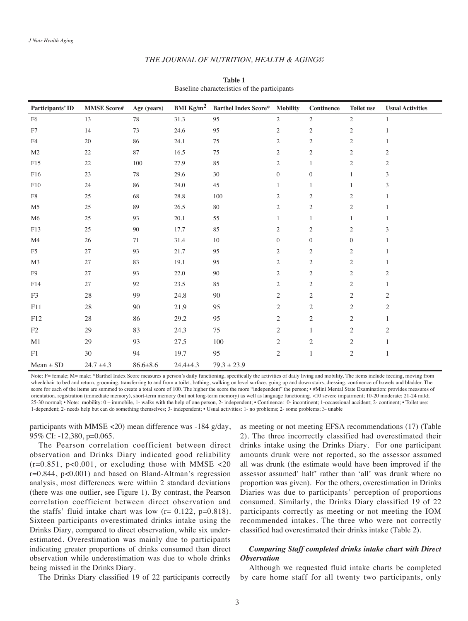### THE JOURNAL OF NUTRITION, HEALTH & AGING©

| Participants' ID | <b>MMSE Score#</b> | Age (years)    | BMI $\text{Kg/m}^2$ | <b>Barthel Index Score*</b> | <b>Mobility</b>  | <b>Continence</b> | <b>Toilet use</b> | <b>Usual Activities</b> |
|------------------|--------------------|----------------|---------------------|-----------------------------|------------------|-------------------|-------------------|-------------------------|
| F <sub>6</sub>   | 13                 | 78             | 31.3                | 95                          | $\mathbf{2}$     | $\overline{c}$    | $\sqrt{2}$        | 1                       |
| ${\rm F}7$       | 14                 | 73             | 24.6                | 95                          | $\overline{2}$   | $\mathbf{2}$      | $\mathfrak{2}$    |                         |
| F4               | 20                 | 86             | 24.1                | 75                          | $\overline{2}$   | $\overline{2}$    | $\overline{c}$    | 1                       |
| M <sub>2</sub>   | $22\,$             | 87             | 16.5                | 75                          | $\overline{2}$   | $\mathbf{2}$      | $\mathfrak{2}$    | $\mathfrak{2}$          |
| F15              | $22\,$             | $100\,$        | 27.9                | 85                          | $\overline{2}$   | $\mathbf{1}$      | $\mathfrak{2}$    | $\mathbf{2}$            |
| F16              | 23                 | 78             | 29.6                | $30\,$                      | $\boldsymbol{0}$ | $\boldsymbol{0}$  | $\mathbf{1}$      | 3                       |
| ${\rm F10}$      | 24                 | 86             | 24.0                | 45                          | 1                | $\mathbf{1}$      | 1                 | 3                       |
| ${\rm F}8$       | 25                 | 68             | 28.8                | 100                         | $\mathfrak{2}$   | $\overline{2}$    | $\mathfrak{2}$    |                         |
| M <sub>5</sub>   | 25                 | 89             | 26.5                | $80\,$                      | $\mathfrak{2}$   | $\mathbf{2}$      | $\overline{c}$    |                         |
| M6               | 25                 | 93             | 20.1                | 55                          | 1                | $\mathbf{1}$      | 1                 |                         |
| F13              | 25                 | 90             | 17.7                | 85                          | $\overline{c}$   | $\mathfrak{2}$    | $\mathfrak{2}$    | 3                       |
| M4               | 26                 | 71             | 31.4                | $10\,$                      | $\mathbf{0}$     | $\overline{0}$    | $\mathbf{0}$      |                         |
| F <sub>5</sub>   | 27                 | 93             | 21.7                | 95                          | $\overline{c}$   | $\overline{c}$    | $\overline{c}$    |                         |
| M <sub>3</sub>   | 27                 | 83             | 19.1                | 95                          | $\overline{c}$   | $\overline{c}$    | $\overline{c}$    |                         |
| F <sub>9</sub>   | 27                 | 93             | 22.0                | 90                          | $\mathfrak{2}$   | $\overline{2}$    | $\mathfrak{2}$    | $\overline{c}$          |
| F14              | 27                 | 92             | 23.5                | 85                          | $\overline{c}$   | $\overline{c}$    | $\overline{c}$    | 1                       |
| F3               | $28\,$             | 99             | 24.8                | $90\,$                      | 2                | 2                 | $\overline{c}$    | 2                       |
| F11              | 28                 | 90             | 21.9                | 95                          | $\overline{c}$   | $\mathbf{2}$      | $\sqrt{2}$        | $\sqrt{2}$              |
| F12              | 28                 | 86             | 29.2                | 95                          | $\mathbf{2}$     | $\sqrt{2}$        | $\sqrt{2}$        | 1                       |
| F2               | 29                 | 83             | 24.3                | 75                          | 2                | $\mathbf{1}$      | $\overline{c}$    | $\mathfrak{2}$          |
| M1               | 29                 | 93             | 27.5                | 100                         | $\mathbf{2}$     | $\overline{c}$    | $\mathfrak{2}$    | 1                       |
| F1               | 30                 | 94             | 19.7                | 95                          | $\mathbf{2}$     | $\mathbf{1}$      | $\sqrt{2}$        | 1                       |
| $Mean \pm SD$    | $24.7 \pm 4.3$     | $86.6 \pm 8.6$ | $24.4 \pm 4.3$      | $79.3 \pm 23.9$             |                  |                   |                   |                         |

## **1 Table** Baseline characteristics of the participants

Note: F= female; M= male; \*Barthel Index Score measures a person's daily functioning, specifically the activities of daily living and mobility. The items include feeding, moving from wheelchair to bed and return, grooming, transferring to and from a toilet, bathing, walking on level surface, going up and down stairs, dressing, continence of bowels and bladder. The score for each of the items are summed to create a total score of 100. The higher the score the more "independent" the person; • #Mini Mental State Examination: provides measures of orientation, registration (immediate memory), short-term memory (but not long-term memory) as well as language functioning. <10 severe impairment; 10-20 moderate; 21-24 mild; 25-30 normal; • Note: mobility: 0 - immobile, 1- walks with the help of one person, 2- independent; • Continence: 0- incontinent; 1-occassional accident; 2- continent; • Toilet use: 1-dependent; 2- needs help but can do something themselves; 3- independent; • Usual activities: 1- no problems; 2- some problems; 3- unable

participants with MMSE <20) mean difference was -184 g/day, 95% CI:  $-12,380, p=0.065$ .

The Pearson correlation coefficient between direct observation and Drinks Diary indicated good reliability  $(r=0.851, p<0.001,$  or excluding those with MMSE <20  $r=0.844$ ,  $p<0.001$ ) and based on Bland-Altman's regression analysis, most differences were within 2 standard deviations (there was one outlier, see Figure 1). By contrast, the Pearson correlation coefficient between direct observation and the staffs' fluid intake chart was low ( $r = 0.122$ ,  $p = 0.818$ ). Sixteen participants overestimated drinks intake using the Drinks Diary, compared to direct observation, while six under-<br>estimated. Overestimation was mainly due to participants indicating greater proportions of drinks consumed than direct observation while underestimation was due to whole drinks being missed in the Drinks Diary.

as meeting or not meeting EFSA recommendations (17) (Table 2). The three incorrectly classified had overestimated their drinks intake using the Drinks Diary. For one participant amounts drunk were not reported, so the assessor assumed all was drunk (the estimate would have been improved if the assessor assumed' half' rather than 'all' was drunk where no proportion was given). For the others, overestimation in Drinks Diaries was due to participants' perception of proportions consumed. Similarly, the Drinks Diary classified 19 of 22 participants correctly as meeting or not meeting the IOM recommended intakes. The three who were not correctly classified had overestimated their drinks intake (Table 2).

# *Comparing Staff completed drinks intake chart with Direct Observation*

The Drinks Diary classified 19 of 22 participants correctly

Although we requested fluid intake charts be completed by care home staff for all twenty two participants, only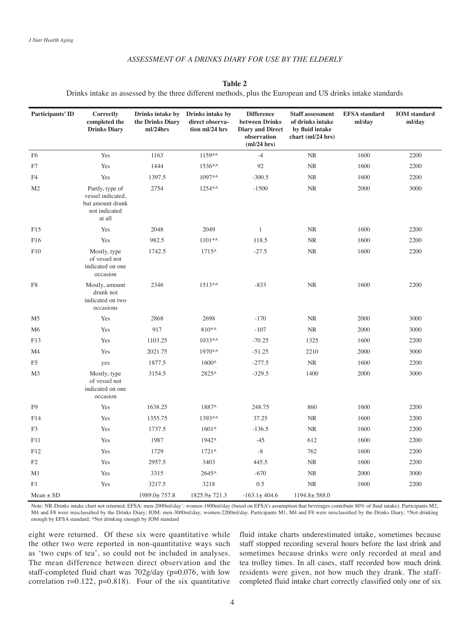# **ASSESSMENT OF A DRINKS DIARY FOR USE BY THE ELDERLY**

**2 Table**

Drinks intake as assessed by the three different methods, plus the European and US drinks intake standards

| Participants' ID | Correctly<br>completed the<br><b>Drinks Diary</b>                                   | Drinks intake by<br>the Drinks Diary<br>ml/24hrs | Drinks intake by<br>direct observa-<br>tion ml/24 hrs | <b>Difference</b><br>between Drinks<br><b>Diary and Direct</b><br>observation<br>$m!/24$ hrs) | <b>Staff assessment</b><br>of drinks intake<br>by fluid intake<br>chart (ml/24 hrs) | <b>EFSA</b> standard<br>ml/day | <b>IOM</b> standard<br>ml/day |
|------------------|-------------------------------------------------------------------------------------|--------------------------------------------------|-------------------------------------------------------|-----------------------------------------------------------------------------------------------|-------------------------------------------------------------------------------------|--------------------------------|-------------------------------|
| F <sub>6</sub>   | Yes                                                                                 | 1163                                             | 1159*^                                                | $-4$                                                                                          | NR                                                                                  | 1600                           | 2200                          |
| F7               | Yes                                                                                 | 1444                                             | 1536*^                                                | 92                                                                                            | NR                                                                                  | 1600                           | 2200                          |
| F <sub>4</sub>   | Yes                                                                                 | 1397.5                                           | 1097*^                                                | $-300.5$                                                                                      | NR                                                                                  | 1600                           | 2200                          |
| M <sub>2</sub>   | Partly, type of<br>vessel indicated,<br>but amount drunk<br>not indicated<br>at all | 2754                                             | 1254*^                                                | $-1500$                                                                                       | NR                                                                                  | 2000                           | 3000                          |
| F15              | Yes                                                                                 | 2048                                             | 2049                                                  | $\mathbf{1}$                                                                                  | <b>NR</b>                                                                           | 1600                           | 2200                          |
| F16              | Yes                                                                                 | 982.5                                            | $1101**$                                              | 118.5                                                                                         | <b>NR</b>                                                                           | 1600                           | 2200                          |
| F10              | Mostly, type<br>of vessel not<br>indicated on one<br>occasion                       | 1742.5                                           | $1715^{\circ}$                                        | $-27.5$                                                                                       | NR                                                                                  | 1600                           | 2200                          |
| F8               | Mostly, amount<br>drunk not<br>indicated on two<br>occasions                        | 2346                                             | $1513**$                                              | $-833$                                                                                        | <b>NR</b>                                                                           | 1600                           | 2200                          |
| M <sub>5</sub>   | Yes                                                                                 | 2868                                             | 2698                                                  | $-170$                                                                                        | <b>NR</b>                                                                           | 2000                           | 3000                          |
| M6               | Yes                                                                                 | 917                                              | $810**$                                               | $-107$                                                                                        | $\rm NR$                                                                            | 2000                           | 3000                          |
| F13              | Yes                                                                                 | 1103.25                                          | $1033**$                                              | $-70.25$                                                                                      | 1325                                                                                | 1600                           | 2200                          |
| M4               | Yes                                                                                 | 2021.75                                          | 1970*^                                                | $-51.25$                                                                                      | 2210                                                                                | 2000                           | 3000                          |
| F <sub>5</sub>   | yes                                                                                 | 1877.5                                           | 1600^                                                 | $-277.5$                                                                                      | <b>NR</b>                                                                           | 1600                           | 2200                          |
| M <sub>3</sub>   | Mostly, type<br>of vessel not<br>indicated on one<br>occasion                       | 3154.5                                           | 2825^                                                 | $-329.5$                                                                                      | 1400                                                                                | 2000                           | 3000                          |
| F <sub>9</sub>   | Yes                                                                                 | 1638.25                                          | 1887^                                                 | 248.75                                                                                        | 860                                                                                 | 1600                           | 2200                          |
| F14              | Yes                                                                                 | 1355.75                                          | 1393*^                                                | 37.25                                                                                         | NR                                                                                  | 1600                           | 2200                          |
| F <sub>3</sub>   | Yes                                                                                 | 1737.5                                           | $1601^{\circ}$                                        | $-136.5$                                                                                      | NR                                                                                  | 1600                           | 2200                          |
| F11              | Yes                                                                                 | 1987                                             | 1942^                                                 | $-45$                                                                                         | 612                                                                                 | 1600                           | 2200                          |
| F12              | Yes                                                                                 | 1729                                             | $1721^{\circ}$                                        | $-8$                                                                                          | 762                                                                                 | 1600                           | 2200                          |
| F2               | Yes                                                                                 | 2957.5                                           | 3403                                                  | 445.5                                                                                         | <b>NR</b>                                                                           | 1600                           | 2200                          |
| M1               | Yes                                                                                 | 3315                                             | 2645^                                                 | $-670$                                                                                        | <b>NR</b>                                                                           | 2000                           | 3000                          |
| F1               | Yes                                                                                 | 3217.5                                           | 3218                                                  | 0.5                                                                                           | NR                                                                                  | 1600                           | 2200                          |
| $Mean \pm SD$    |                                                                                     | $1989.0 \pm 757.8$                               | $1825.9 \pm 721.3$                                    | $-163.1 \pm 404.6$                                                                            | $1194.8 \pm 588.0$                                                                  |                                |                               |

Note: NR-Drinks intake chart not returned; EFSA: men-2000ml/day'; women-1600ml/day (based on EFSA's assumption that beverages contribute 80% of fluid intake). Participants M2, M4 and F8 were misclassified by the Drinks Diary; IOM: men-3000ml/day; women-2200ml/day. Participants M1, M4 and F8 were misclassified by the Drinks Diary; \*Not drinking enough by EFSA standard; ^Not drinking enough by IOM standard

eight were returned. Of these six were quantitative while the other two were reported in non-quantitative ways such as 'two cups of tea', so could not be included in analyses. The mean difference between direct observation and the staff-completed fluid chart was  $702$  g/day (p=0.076, with low correlation  $r=0.122$ ,  $p=0.818$ ). Four of the six quantitative

fluid intake charts underestimated intake, sometimes because staff stopped recording several hours before the last drink and sometimes because drinks were only recorded at meal and tea trolley times. In all cases, staff recorded how much drink completed fluid intake chart correctly classified only one of six residents were given, not how much they drank. The staff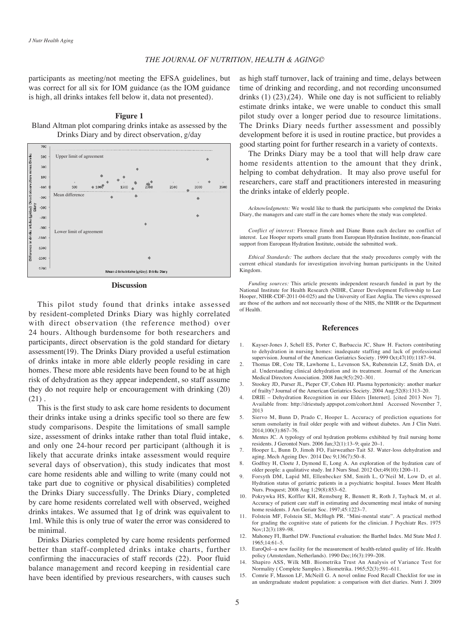participants as meeting/not meeting the EFSA guidelines, but was correct for all six for IOM guidance (as the IOM guidance is high, all drinks intakes fell below it, data not presented).

**1 Figure** Bland Altman plot comparing drinks intake as assessed by the Drinks Diary and by direct observation, g/day



#### **Discussion**

This pilot study found that drinks intake assessed by resident-completed Drinks Diary was highly correlated with direct observation (the reference method) over 24 hours. Although burdensome for both researchers and participants, direct observation is the gold standard for dietary assessment(19). The Drinks Diary provided a useful estimation of drinks intake in more able elderly people residing in care homes. These more able residents have been found to be at high risk of dehydration as they appear independent, so staff assume they do not require help or encouragement with drinking (20)  $(21)$ .

This is the first study to ask care home residents to document their drinks intake using a drinks specific tool so there are few study comparisons. Despite the limitations of small sample size, assessment of drinks intake rather than total fluid intake, and only one 24-hour record per participant (although it is likely that accurate drinks intake assessment would require several days of observation), this study indicates that most care home residents able and willing to write (many could not take part due to cognitive or physical disabilities) completed the Drinks Diary successfully. The Drinks Diary, completed by care home residents correlated well with observed, weighed drinks intakes. We assumed that 1g of drink was equivalent to 1ml. While this is only true of water the error was considered to be minimal.

Drinks Diaries completed by care home residents performed better than staff-completed drinks intake charts, further confirming the inaccuracies of staff records  $(22)$ . Poor fluid balance management and record keeping in residential care have been identified by previous researchers, with causes such as high staff turnover, lack of training and time, delays between time of drinking and recording, and not recording unconsumed drinks  $(1)$   $(23)$ ,  $(24)$ . While one day is not sufficient to reliably estimate drinks intake, we were unable to conduct this small pilot study over a longer period due to resource limitations. The Drinks Diary needs further assessment and possibly development before it is used in routine practice, but provides a good starting point for further research in a variety of contexts.

The Drinks Diary may be a tool that will help draw care home residents attention to the amount that they drink, helping to combat dehydration. It may also prove useful for researchers, care staff and practitioners interested in measuring the drinks intake of elderly people.

Acknowledgments: We would like to thank the participants who completed the Drinks Diary, the managers and care staff in the care homes where the study was completed.

Conflict of interest: Florence Jimoh and Diane Bunn each declare no conflict of interest. Lee Hooper reports small grants from European Hydration Institute, non-financial support from European Hydration Institute, outside the submitted work.

Ethical Standards: The authors declare that the study procedures comply with the current ethical standards for investigation involving human participants in the United .Kingdom

Funding sources: This article presents independent research funded in part by the National Institute for Health Research (NIHR, Career Development Fellowship to Lee Hooper, NIHR-CDF-2011-04-025) and the University of East Anglia. The views expressed are those of the authors and not necessarily those of the NHS, the NIHR or the Department of Health

#### **References**

- 1. Kayser-Jones J, Schell ES, Porter C, Barbaccia JC, Shaw H. Factors contributing to dehydration in nursing homes: inadequate staffing and lack of professional supervision. Journal of the American Geriatrics Society. 1999 Oct:47(10):1187-94.
- 2. Thomas DR, Cote TR, Lawhorne L, Levenson SA, Rubenstein LZ, Smith DA, et al. Understanding clinical dehydration and its treatment. Journal of the American Medical Directors Association. 2008 Jun;9(5):292-301.
- 3. Stookey JD, Purser JL, Pieper CF, Cohen HJ. Plasma hypertonicity: another marker of frailty? Journal of the American Geriatrics Society. 2004 Aug;52(8):1313-20.
- 4. DRIE Dehydration Recognition in our Elders [Internet]. [cited 2013 Nov 7]. Available from: http://driestudy.appspot.com/cohort.html Accessed November 7, 2013
- 5. Siervo M, Bunn D, Prado C, Hooper L. Accuracy of prediction equations for serum osmolarity in frail older people with and without diabetes. Am J Clin Nutri. 2014:100(3):867-76.
- 6. Mentes JC. A typology of oral hydration problems exhibited by frail nursing home residents. J Gerontol Nurs. 2006 Jan:32(1):13-9: quiz 20-1.
- Hooper L, Bunn D, Jimoh FO, Fairweather-Tait SJ. Water-loss dehydration and aging. Mech Ageing Dev. 2014 Dec 9;136(7):50-8.
- Godfrey H, Cloete J, Dymond E, Long A. An exploration of the hydration care of older people: a qualitative study. Int J Nurs Stud. 2012 Oct;49(10):1200-11.
- 9. Forsyth DM, Lapid MI, Ellenbecker SM, Smith L, O'Neil M, Low D, et al. Hydration status of geriatric patients in a psychiatric hospital. Issues Ment Health Nurs. Proquest; 2008 Aug 1;29(8):853-62.
- 10. Pokrywka HS, Koffler KH, Remsburg R, Bennett R, Roth J, Tayback M, et al. Accuracy of patient care staff in estimating and documenting meal intake of nursing home residents. J Am Geriatr Soc. 1997;45:1223-7.
- 11. Folstein MF, Folstein SE, McHugh PR. "Mini-mental state". A practical method for grading the cognitive state of patients for the clinician. J Psychiatr Res. 1975 Nov:12(3):189-98
- 12. Mahoney FI, Barthel DW. Functional evaluation: the Barthel Index. Md State Med J. 1965:14:61-5.
- 13. EuroOol--a new facility for the measurement of health-related quality of life. Health policy (Amsterdam, Netherlands). 1990 Dec;16(3):199-208.
- 14. Shapiro ASS, Wilk MB. Biometrika Trust An Analysis of Variance Test for Normality (Complete Samples ). Biometrika. 1965;52(3):591-611.
- 15. Comrie F, Masson LF, McNeill G. A novel online Food Recall Checklist for use in an undergraduate student population: a comparison with diet diaries. Nutri J. 2009